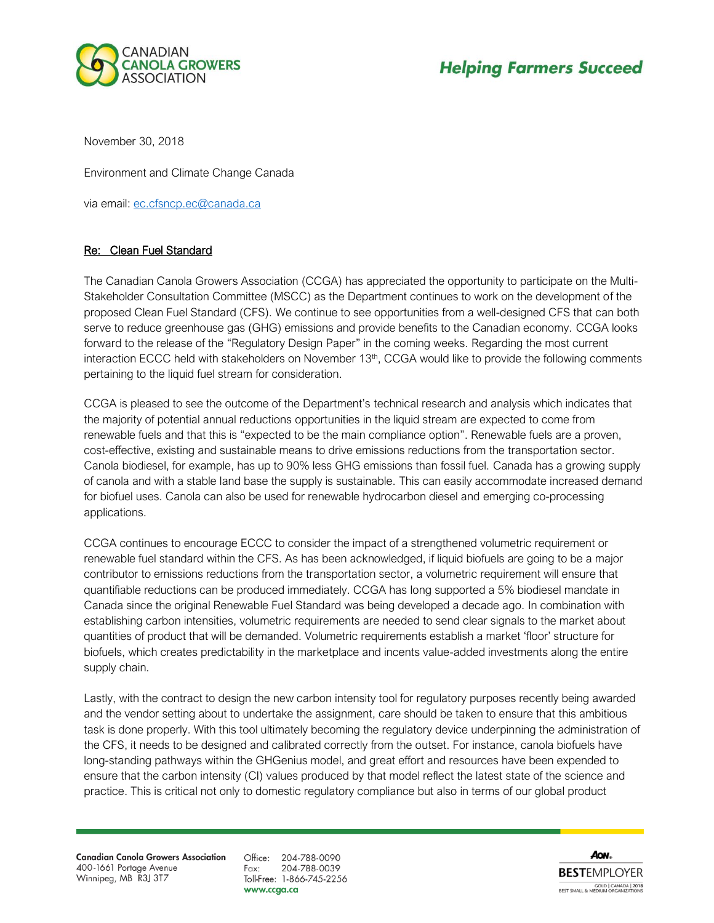

November 30, 2018

Environment and Climate Change Canada

via email: [ec.cfsncp.ec@canada.ca](mailto:ec.cfsncp.ec@canada.ca)

## Re: Clean Fuel Standard

The Canadian Canola Growers Association (CCGA) has appreciated the opportunity to participate on the Multi-Stakeholder Consultation Committee (MSCC) as the Department continues to work on the development of the proposed Clean Fuel Standard (CFS). We continue to see opportunities from a well-designed CFS that can both serve to reduce greenhouse gas (GHG) emissions and provide benefits to the Canadian economy. CCGA looks forward to the release of the "Regulatory Design Paper" in the coming weeks. Regarding the most current interaction ECCC held with stakeholders on November 13<sup>th</sup>, CCGA would like to provide the following comments pertaining to the liquid fuel stream for consideration.

CCGA is pleased to see the outcome of the Department's technical research and analysis which indicates that the majority of potential annual reductions opportunities in the liquid stream are expected to come from renewable fuels and that this is "expected to be the main compliance option". Renewable fuels are a proven, cost-effective, existing and sustainable means to drive emissions reductions from the transportation sector. Canola biodiesel, for example, has up to 90% less GHG emissions than fossil fuel. Canada has a growing supply of canola and with a stable land base the supply is sustainable. This can easily accommodate increased demand for biofuel uses. Canola can also be used for renewable hydrocarbon diesel and emerging co-processing applications.

CCGA continues to encourage ECCC to consider the impact of a strengthened volumetric requirement or renewable fuel standard within the CFS. As has been acknowledged, if liquid biofuels are going to be a major contributor to emissions reductions from the transportation sector, a volumetric requirement will ensure that quantifiable reductions can be produced immediately. CCGA has long supported a 5% biodiesel mandate in Canada since the original Renewable Fuel Standard was being developed a decade ago. In combination with establishing carbon intensities, volumetric requirements are needed to send clear signals to the market about quantities of product that will be demanded. Volumetric requirements establish a market 'floor' structure for biofuels, which creates predictability in the marketplace and incents value-added investments along the entire supply chain.

Lastly, with the contract to design the new carbon intensity tool for regulatory purposes recently being awarded and the vendor setting about to undertake the assignment, care should be taken to ensure that this ambitious task is done properly. With this tool ultimately becoming the regulatory device underpinning the administration of the CFS, it needs to be designed and calibrated correctly from the outset. For instance, canola biofuels have long-standing pathways within the GHGenius model, and great effort and resources have been expended to ensure that the carbon intensity (CI) values produced by that model reflect the latest state of the science and practice. This is critical not only to domestic regulatory compliance but also in terms of our global product

**Canadian Canola Growers Association** 400-1661 Portage Avenue Winnipeg, MB R3J 3T7

Office: 204-788-0090 204-788-0039 Fax: Toll-Free: 1-866-745-2256 www.ccga.ca